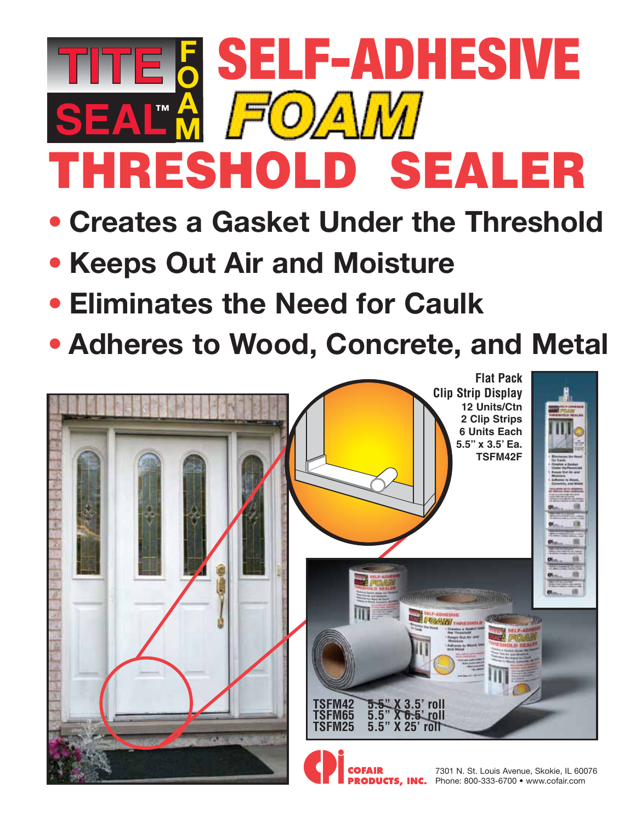## THRESHOLD SEALER **SEAL™ F O** SELF-ADHESIVE **A M**

- **• Creates a Gasket Under the Threshold**
- **• Keeps Out Air and Moisture**
- **• Eliminates the Need for Caulk**
- **• Adheres to Wood, Concrete, and Metal**